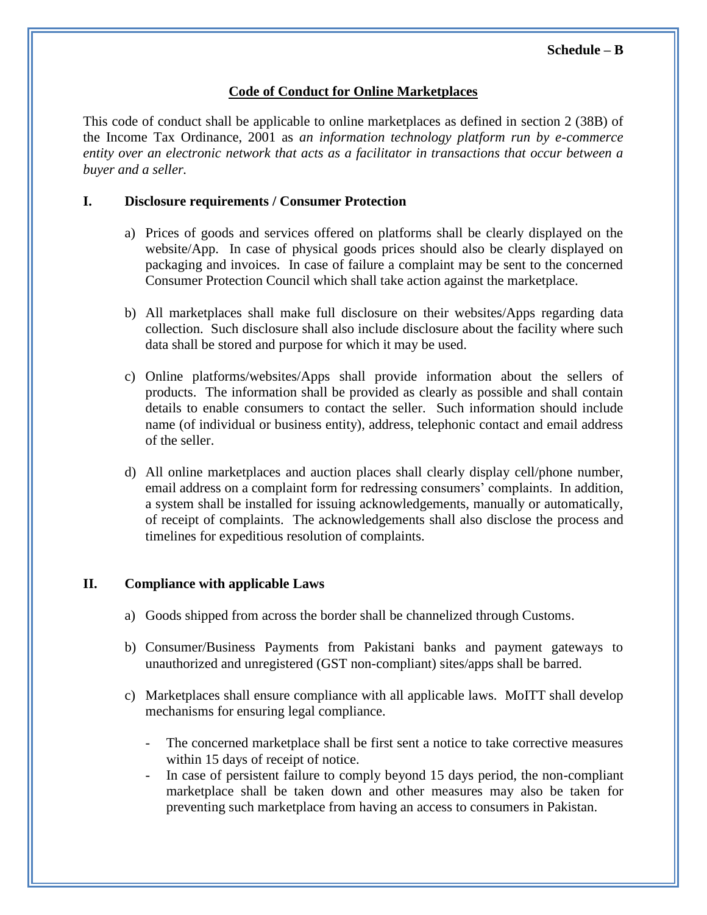## **Code of Conduct for Online Marketplaces**

This code of conduct shall be applicable to online marketplaces as defined in section 2 (38B) of the Income Tax Ordinance, 2001 as *an information technology platform run by e-commerce entity over an electronic network that acts as a facilitator in transactions that occur between a buyer and a seller.*

## **I. Disclosure requirements / Consumer Protection**

- a) Prices of goods and services offered on platforms shall be clearly displayed on the website/App. In case of physical goods prices should also be clearly displayed on packaging and invoices. In case of failure a complaint may be sent to the concerned Consumer Protection Council which shall take action against the marketplace.
- b) All marketplaces shall make full disclosure on their websites/Apps regarding data collection. Such disclosure shall also include disclosure about the facility where such data shall be stored and purpose for which it may be used.
- c) Online platforms/websites/Apps shall provide information about the sellers of products. The information shall be provided as clearly as possible and shall contain details to enable consumers to contact the seller. Such information should include name (of individual or business entity), address, telephonic contact and email address of the seller.
- d) All online marketplaces and auction places shall clearly display cell/phone number, email address on a complaint form for redressing consumers' complaints. In addition, a system shall be installed for issuing acknowledgements, manually or automatically, of receipt of complaints. The acknowledgements shall also disclose the process and timelines for expeditious resolution of complaints.

## **II. Compliance with applicable Laws**

- a) Goods shipped from across the border shall be channelized through Customs.
- b) Consumer/Business Payments from Pakistani banks and payment gateways to unauthorized and unregistered (GST non-compliant) sites/apps shall be barred.
- c) Marketplaces shall ensure compliance with all applicable laws. MoITT shall develop mechanisms for ensuring legal compliance.
	- The concerned marketplace shall be first sent a notice to take corrective measures within 15 days of receipt of notice.
	- In case of persistent failure to comply beyond 15 days period, the non-compliant marketplace shall be taken down and other measures may also be taken for preventing such marketplace from having an access to consumers in Pakistan.